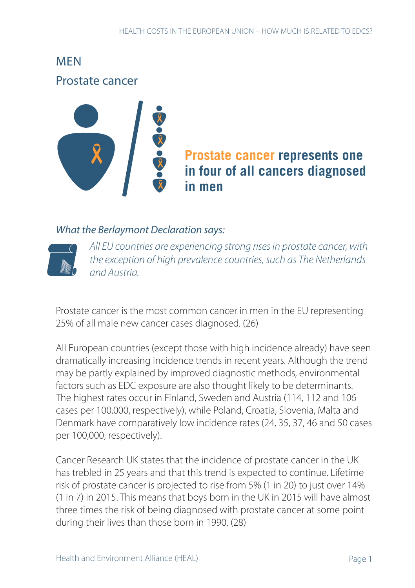MEN Prostate cancer



# **Prostate cancer represents one in four of all cancers diagnosed in men**

#### *What the Berlaymont Declaration says:*



*All EU countries are experiencing strong rises in prostate cancer, with the exception of high prevalence countries, such as The Netherlands and Austria.* 

Prostate cancer is the most common cancer in men in the EU representing 25% of all male new cancer cases diagnosed. (26)

All European countries (except those with high incidence already) have seen dramatically increasing incidence trends in recent years. Although the trend may be partly explained by improved diagnostic methods, environmental factors such as EDC exposure are also thought likely to be determinants. The highest rates occur in Finland, Sweden and Austria (114, 112 and 106 cases per 100,000, respectively), while Poland, Croatia, Slovenia, Malta and Denmark have comparatively low incidence rates (24, 35, 37, 46 and 50 cases per 100,000, respectively).

Cancer Research UK states that the incidence of prostate cancer in the UK has trebled in 25 years and that this trend is expected to continue. Lifetime risk of prostate cancer is projected to rise from 5% (1 in 20) to just over 14% (1 in 7) in 2015. This means that boys born in the UK in 2015 will have almost three times the risk of being diagnosed with prostate cancer at some point during their lives than those born in 1990. (28)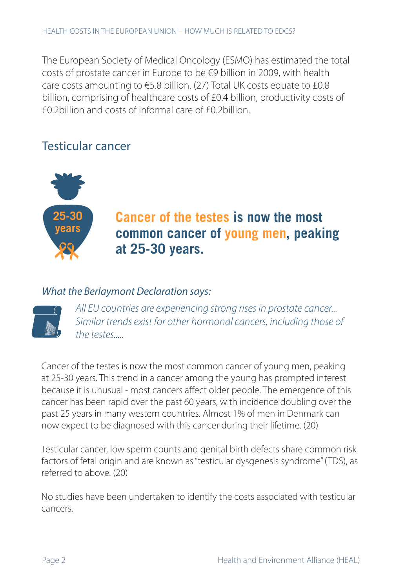The European Society of Medical Oncology (ESMO) has estimated the total costs of prostate cancer in Europe to be €9 billion in 2009, with health care costs amounting to €5.8 billion. (27) Total UK costs equate to £0.8 billion, comprising of healthcare costs of £0.4 billion, productivity costs of £0.2billion and costs of informal care of £0.2billion.

### Testicular cancer



# **Cancer of the testes is now the most common cancer of young men, peaking at 25-30 years.**

#### *What the Berlaymont Declaration says:*



*All EU countries are experiencing strong rises in prostate cancer... Similar trends exist for other hormonal cancers, including those of the testes.....*

Cancer of the testes is now the most common cancer of young men, peaking at 25-30 years. This trend in a cancer among the young has prompted interest because it is unusual - most cancers affect older people. The emergence of this cancer has been rapid over the past 60 years, with incidence doubling over the past 25 years in many western countries. Almost 1% of men in Denmark can now expect to be diagnosed with this cancer during their lifetime. (20)

Testicular cancer, low sperm counts and genital birth defects share common risk factors of fetal origin and are known as "testicular dysgenesis syndrome" (TDS), as referred to above. (20)

No studies have been undertaken to identify the costs associated with testicular cancers.